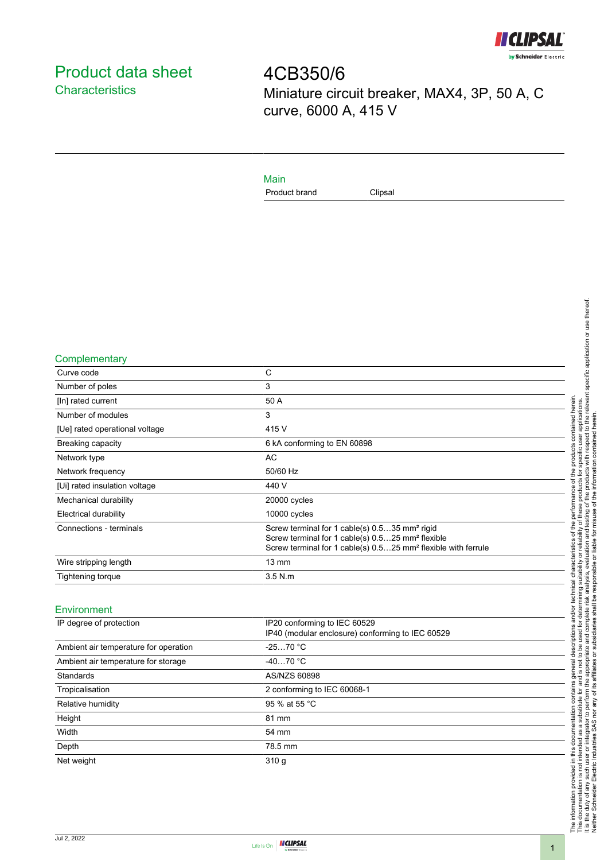

# <span id="page-0-0"></span>Product data sheet **Characteristics**

4CB350/6 Miniature circuit breaker, MAX4, 3P, 50 A, C curve, 6000 A, 415 V

Main

Product brand Clipsal

#### **Complementary**

| Curve code                     | C                                                                                                                                                                                                      |
|--------------------------------|--------------------------------------------------------------------------------------------------------------------------------------------------------------------------------------------------------|
| Number of poles                | 3                                                                                                                                                                                                      |
| [In] rated current             | 50 A                                                                                                                                                                                                   |
| Number of modules              | 3                                                                                                                                                                                                      |
| [Ue] rated operational voltage | 415 V                                                                                                                                                                                                  |
| Breaking capacity              | 6 kA conforming to EN 60898                                                                                                                                                                            |
| Network type                   | <b>AC</b>                                                                                                                                                                                              |
| Network frequency              | 50/60 Hz                                                                                                                                                                                               |
| [Ui] rated insulation voltage  | 440 V                                                                                                                                                                                                  |
| Mechanical durability          | 20000 cycles                                                                                                                                                                                           |
| Electrical durability          | 10000 cycles                                                                                                                                                                                           |
| Connections - terminals        | Screw terminal for 1 cable(s) 0.535 mm <sup>2</sup> rigid<br>Screw terminal for 1 cable(s) 0.525 mm <sup>2</sup> flexible<br>Screw terminal for 1 cable(s) 0.525 mm <sup>2</sup> flexible with ferrule |
| Wire stripping length          | $13 \text{ mm}$                                                                                                                                                                                        |
| <b>Tightening torque</b>       | $3.5$ N.m.                                                                                                                                                                                             |

### Environment

| IP degree of protection               | IP20 conforming to IEC 60529<br>IP40 (modular enclosure) conforming to IEC 60529 |  |
|---------------------------------------|----------------------------------------------------------------------------------|--|
| Ambient air temperature for operation | $-2570 °C$                                                                       |  |
| Ambient air temperature for storage   | $-4070 °C$                                                                       |  |
| Standards                             | AS/NZS 60898                                                                     |  |
| Tropicalisation                       | 2 conforming to IEC 60068-1                                                      |  |
| Relative humidity                     | 95 % at 55 °C                                                                    |  |
| Height                                | 81 mm                                                                            |  |
| Width                                 | 54 mm                                                                            |  |
| Depth                                 | 78.5 mm                                                                          |  |
| Net weight                            | 310q                                                                             |  |
|                                       |                                                                                  |  |